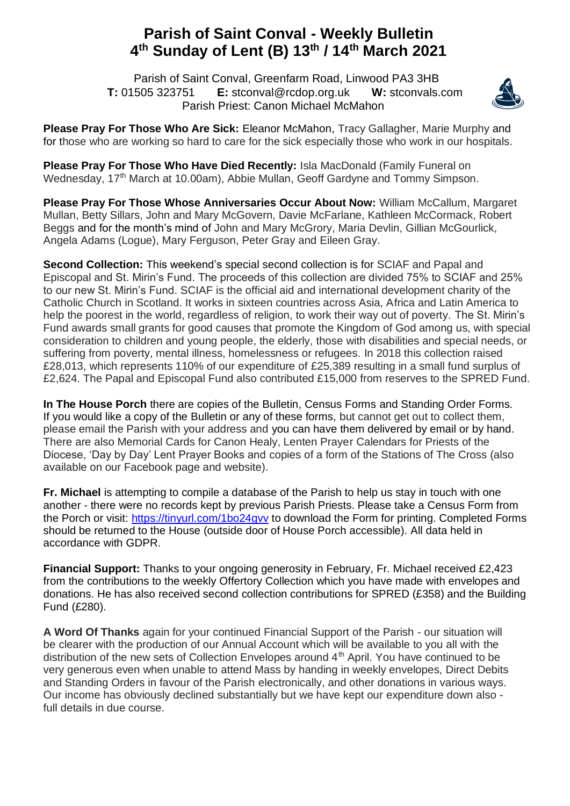## **Parish of Saint Conval - Weekly Bulletin 4 th Sunday of Lent (B) 13th / 14th March 2021**

 Parish of Saint Conval, Greenfarm Road, Linwood PA3 3HB **T:** 01505 323751 **E:** [stconval@rcdop.org.uk](mailto:stconval@rcdop.org.uk) **W:** stconvals.com Parish Priest: Canon Michael McMahon



**Please Pray For Those Who Are Sick:** Eleanor McMahon, Tracy Gallagher, Marie Murphy and for those who are working so hard to care for the sick especially those who work in our hospitals.

**Please Pray For Those Who Have Died Recently:** Isla MacDonald (Family Funeral on Wednesday, 17<sup>th</sup> March at 10.00am), Abbie Mullan, Geoff Gardyne and Tommy Simpson.

**Please Pray For Those Whose Anniversaries Occur About Now:** William McCallum, Margaret Mullan, Betty Sillars, John and Mary McGovern, Davie McFarlane, Kathleen McCormack, Robert Beggs and for the month's mind of John and Mary McGrory, Maria Devlin, Gillian McGourlick, Angela Adams (Logue), Mary Ferguson, Peter Gray and Eileen Gray.

**Second Collection:** This weekend's special second collection is for SCIAF and Papal and Episcopal and St. Mirin's Fund. The proceeds of this collection are divided 75% to SCIAF and 25% to our new St. Mirin's Fund. SCIAF is the official aid and international development charity of the Catholic Church in Scotland. It works in sixteen countries across Asia, Africa and Latin America to help the poorest in the world, regardless of religion, to work their way out of poverty. The St. Mirin's Fund awards small grants for good causes that promote the Kingdom of God among us, with special consideration to children and young people, the elderly, those with disabilities and special needs, or suffering from poverty, mental illness, homelessness or refugees. In 2018 this collection raised £28,013, which represents 110% of our expenditure of £25,389 resulting in a small fund surplus of £2,624. The Papal and Episcopal Fund also contributed £15,000 from reserves to the SPRED Fund.

**In The House Porch** there are copies of the Bulletin, Census Forms and Standing Order Forms. If you would like a copy of the Bulletin or any of these forms, but cannot get out to collect them, please email the Parish with your address and you can have them delivered by email or by hand. There are also Memorial Cards for Canon Healy, Lenten Prayer Calendars for Priests of the Diocese, 'Day by Day' Lent Prayer Books and copies of a form of the Stations of The Cross (also available on our Facebook page and website).

**Fr. Michael** is attempting to compile a database of the Parish to help us stay in touch with one another - there were no records kept by previous Parish Priests. Please take a Census Form from the Porch or visit:<https://tinyurl.com/1bo24gvv> to download the Form for printing. Completed Forms should be returned to the House (outside door of House Porch accessible). All data held in accordance with GDPR.

**Financial Support:** Thanks to your ongoing generosity in February, Fr. Michael received £2,423 from the contributions to the weekly Offertory Collection which you have made with envelopes and donations. He has also received second collection contributions for SPRED (£358) and the Building Fund (£280).

**A Word Of Thanks** again for your continued Financial Support of the Parish - our situation will be clearer with the production of our Annual Account which will be available to you all with the distribution of the new sets of Collection Envelopes around  $4<sup>th</sup>$  April. You have continued to be very generous even when unable to attend Mass by handing in weekly envelopes, Direct Debits and Standing Orders in favour of the Parish electronically, and other donations in various ways. Our income has obviously declined substantially but we have kept our expenditure down also full details in due course.